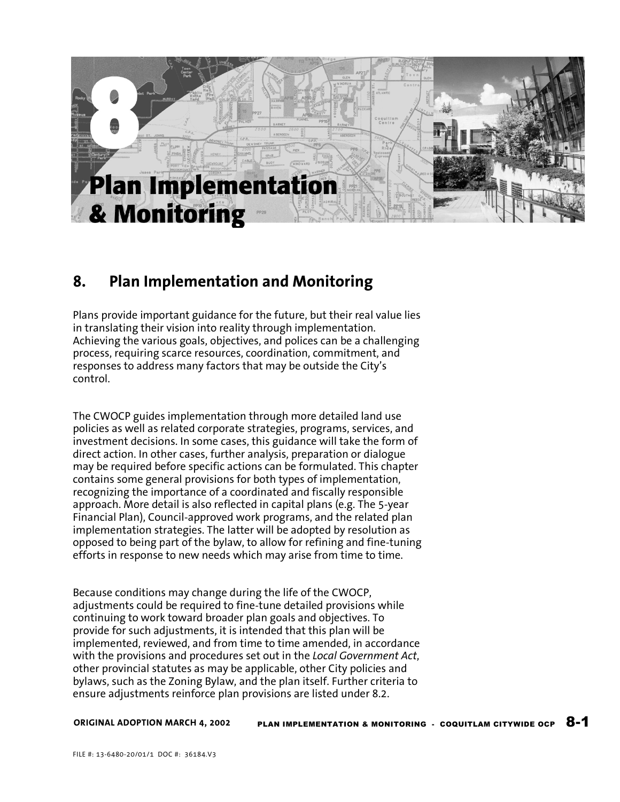

## **8. Plan Implementation and Monitoring**

Plans provide important guidance for the future, but their real value lies in translating their vision into reality through implementation. Achieving the various goals, objectives, and polices can be a challenging process, requiring scarce resources, coordination, commitment, and responses to address many factors that may be outside the City's control.

The CWOCP guides implementation through more detailed land use policies as well as related corporate strategies, programs, services, and investment decisions. In some cases, this guidance will take the form of direct action. In other cases, further analysis, preparation or dialogue may be required before specific actions can be formulated. This chapter contains some general provisions for both types of implementation, recognizing the importance of a coordinated and fiscally responsible approach. More detail is also reflected in capital plans (e.g. The 5-year Financial Plan), Council-approved work programs, and the related plan implementation strategies. The latter will be adopted by resolution as opposed to being part of the bylaw, to allow for refining and fine-tuning efforts in response to new needs which may arise from time to time.

Because conditions may change during the life of the CWOCP, adjustments could be required to fine-tune detailed provisions while continuing to work toward broader plan goals and objectives. To provide for such adjustments, it is intended that this plan will be implemented, reviewed, and from time to time amended, in accordance with the provisions and procedures set out in the *Local Government Act*, other provincial statutes as may be applicable, other City policies and bylaws, such as the Zoning Bylaw, and the plan itself. Further criteria to ensure adjustments reinforce plan provisions are listed under 8.2.

**ORIGINAL ADOPTION MARCH 4, 2002**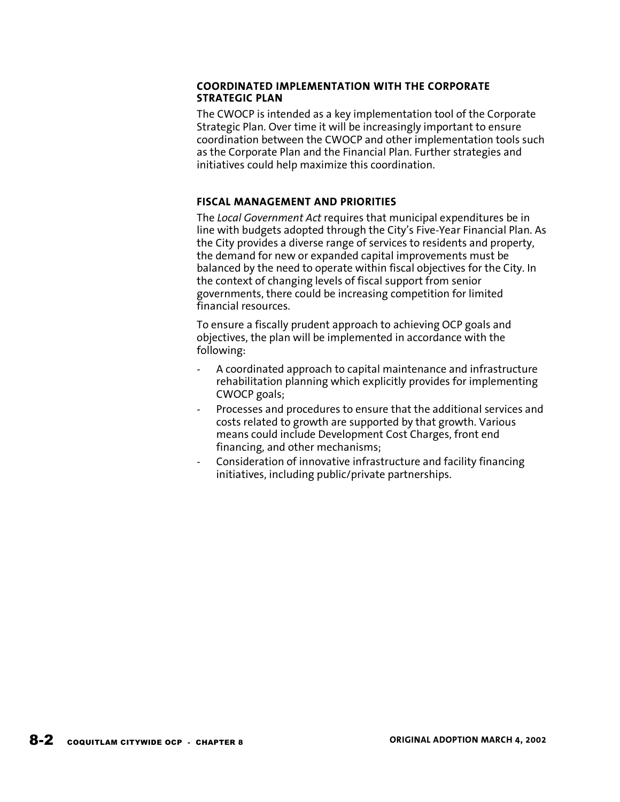#### **COORDINATED IMPLEMENTATION WITH THE CORPORATE STRATEGIC PLAN**

The CWOCP is intended as a key implementation tool of the Corporate Strategic Plan. Over time it will be increasingly important to ensure coordination between the CWOCP and other implementation tools such as the Corporate Plan and the Financial Plan. Further strategies and initiatives could help maximize this coordination.

### **FISCAL MANAGEMENT AND PRIORITIES**

The *Local Government Act* requires that municipal expenditures be in line with budgets adopted through the City's Five-Year Financial Plan. As the City provides a diverse range of services to residents and property, the demand for new or expanded capital improvements must be balanced by the need to operate within fiscal objectives for the City. In the context of changing levels of fiscal support from senior governments, there could be increasing competition for limited financial resources.

To ensure a fiscally prudent approach to achieving OCP goals and objectives, the plan will be implemented in accordance with the following:

- A coordinated approach to capital maintenance and infrastructure rehabilitation planning which explicitly provides for implementing CWOCP goals;
- Processes and procedures to ensure that the additional services and costs related to growth are supported by that growth. Various means could include Development Cost Charges, front end financing, and other mechanisms;
- Consideration of innovative infrastructure and facility financing initiatives, including public/private partnerships.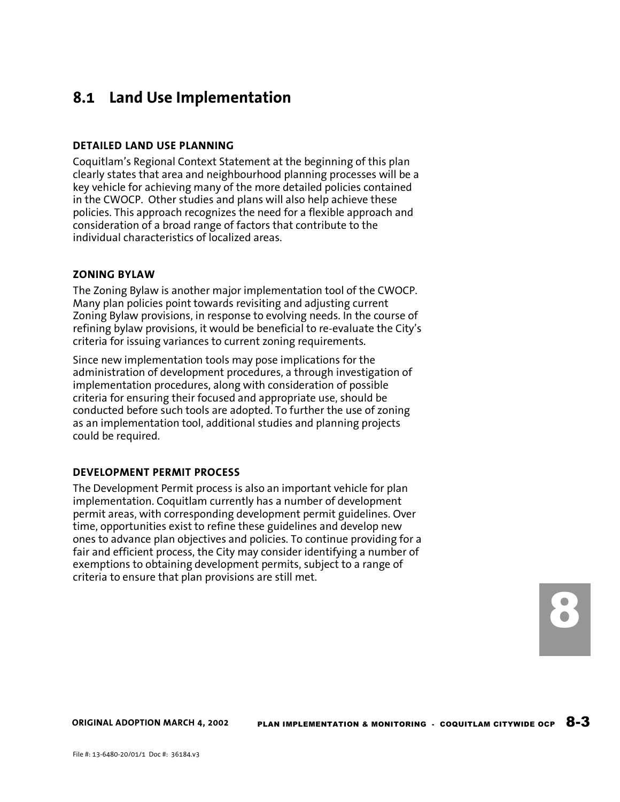## **8.1 Land Use Implementation**

#### **DETAILED LAND USE PLANNING**

Coquitlam's Regional Context Statement at the beginning of this plan clearly states that area and neighbourhood planning processes will be a key vehicle for achieving many of the more detailed policies contained in the CWOCP. Other studies and plans will also help achieve these policies. This approach recognizes the need for a flexible approach and consideration of a broad range of factors that contribute to the individual characteristics of localized areas.

#### **ZONING BYLAW**

The Zoning Bylaw is another major implementation tool of the CWOCP. Many plan policies point towards revisiting and adjusting current Zoning Bylaw provisions, in response to evolving needs. In the course of refining bylaw provisions, it would be beneficial to re-evaluate the City's criteria for issuing variances to current zoning requirements.

Since new implementation tools may pose implications for the administration of development procedures, a through investigation of implementation procedures, along with consideration of possible criteria for ensuring their focused and appropriate use, should be conducted before such tools are adopted. To further the use of zoning as an implementation tool, additional studies and planning projects could be required.

#### **DEVELOPMENT PERMIT PROCESS**

The Development Permit process is also an important vehicle for plan implementation. Coquitlam currently has a number of development permit areas, with corresponding development permit guidelines. Over time, opportunities exist to refine these guidelines and develop new ones to advance plan objectives and policies. To continue providing for a fair and efficient process, the City may consider identifying a number of exemptions to obtaining development permits, subject to a range of criteria to ensure that plan provisions are still met.

8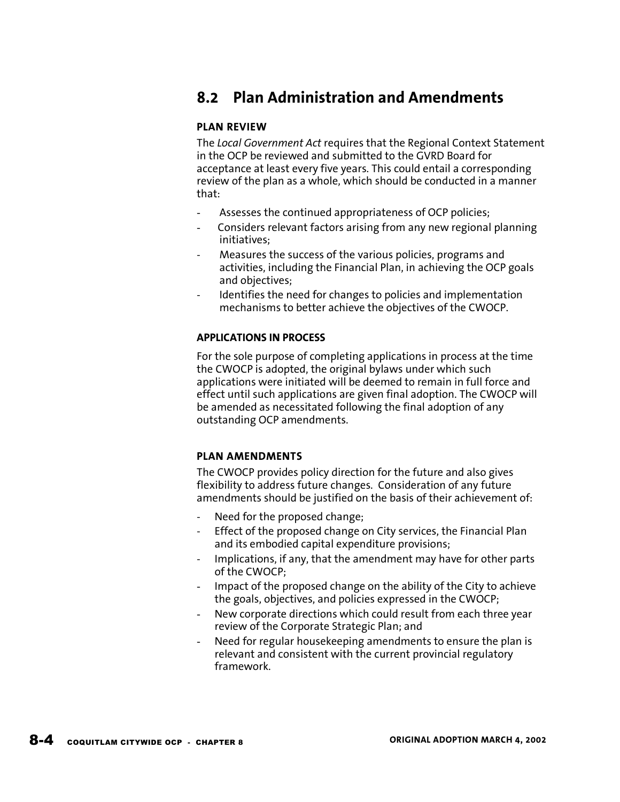## **8.2 Plan Administration and Amendments**

#### **PLAN REVIEW**

The *Local Government Act* requires that the Regional Context Statement in the OCP be reviewed and submitted to the GVRD Board for acceptance at least every five years. This could entail a corresponding review of the plan as a whole, which should be conducted in a manner that:

- Assesses the continued appropriateness of OCP policies;
- Considers relevant factors arising from any new regional planning initiatives;
- Measures the success of the various policies, programs and activities, including the Financial Plan, in achieving the OCP goals and objectives;
- Identifies the need for changes to policies and implementation mechanisms to better achieve the objectives of the CWOCP.

#### **APPLICATIONS IN PROCESS**

For the sole purpose of completing applications in process at the time the CWOCP is adopted, the original bylaws under which such applications were initiated will be deemed to remain in full force and effect until such applications are given final adoption. The CWOCP will be amended as necessitated following the final adoption of any outstanding OCP amendments.

#### **PLAN AMENDMENTS**

The CWOCP provides policy direction for the future and also gives flexibility to address future changes. Consideration of any future amendments should be justified on the basis of their achievement of:

- Need for the proposed change;
- Effect of the proposed change on City services, the Financial Plan and its embodied capital expenditure provisions;
- Implications, if any, that the amendment may have for other parts of the CWOCP;
- Impact of the proposed change on the ability of the City to achieve the goals, objectives, and policies expressed in the CWOCP;
- New corporate directions which could result from each three year review of the Corporate Strategic Plan; and
- Need for regular housekeeping amendments to ensure the plan is relevant and consistent with the current provincial regulatory framework.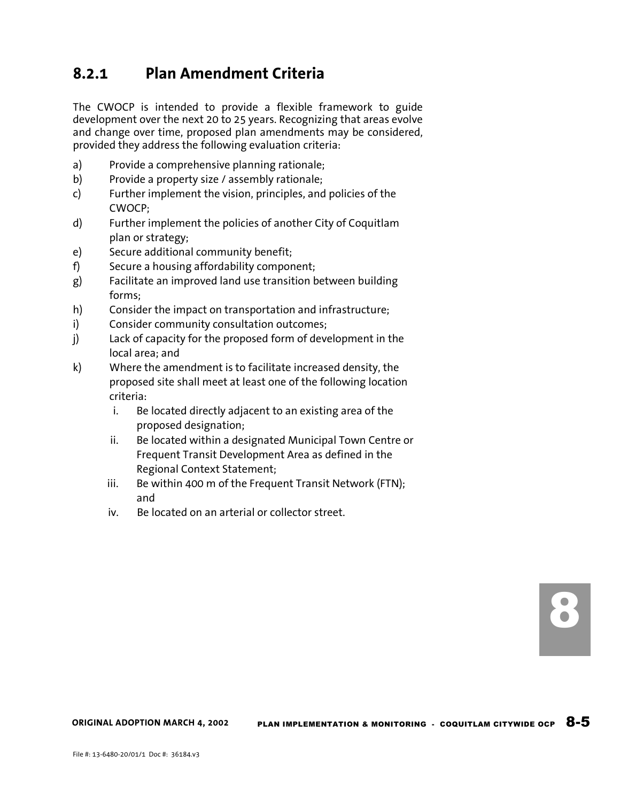## **8.2.1 Plan Amendment Criteria**

The CWOCP is intended to provide a flexible framework to guide development over the next 20 to 25 years. Recognizing that areas evolve and change over time, proposed plan amendments may be considered, provided they address the following evaluation criteria:

- a) Provide a comprehensive planning rationale;
- b) Provide a property size / assembly rationale;
- c) Further implement the vision, principles, and policies of the CWOCP;
- d) Further implement the policies of another City of Coquitlam plan or strategy;
- e) Secure additional community benefit;
- f) Secure a housing affordability component;
- g) Facilitate an improved land use transition between building forms;
- h) Consider the impact on transportation and infrastructure;
- i) Consider community consultation outcomes;
- j) Lack of capacity for the proposed form of development in the local area; and
- k) Where the amendment is to facilitate increased density, the proposed site shall meet at least one of the following location criteria:
	- i. Be located directly adjacent to an existing area of the proposed designation;
	- ii. Be located within a designated Municipal Town Centre or Frequent Transit Development Area as defined in the Regional Context Statement;
	- iii. Be within 400 m of the Frequent Transit Network (FTN); and
	- iv. Be located on an arterial or collector street.

PLAN IMPLEMENTATION & MONITORING  $\cdot$  coquitlam citywide ocp  $8-5$ **ORIGINAL ADOPTION MARCH 4, 2002**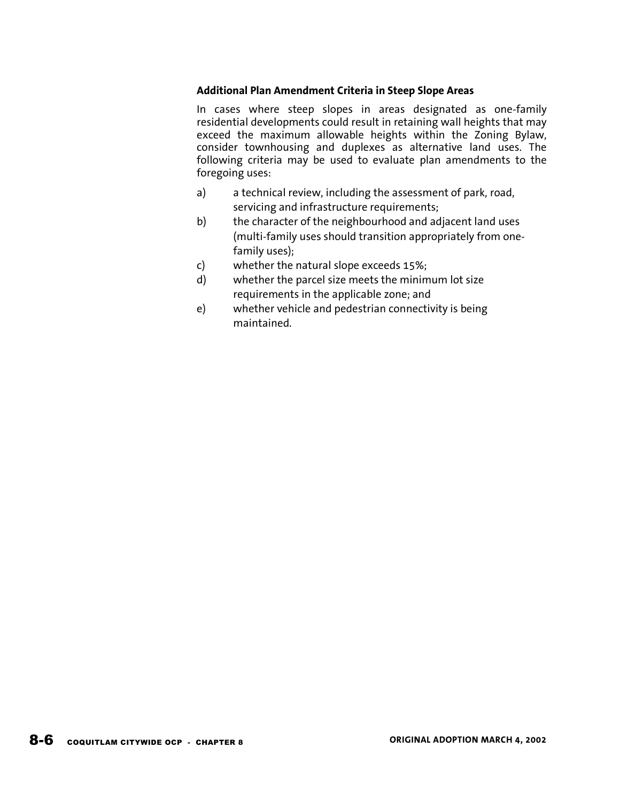#### **Additional Plan Amendment Criteria in Steep Slope Areas**

In cases where steep slopes in areas designated as one-family residential developments could result in retaining wall heights that may exceed the maximum allowable heights within the Zoning Bylaw, consider townhousing and duplexes as alternative land uses. The following criteria may be used to evaluate plan amendments to the foregoing uses:

- a) a technical review, including the assessment of park, road, servicing and infrastructure requirements;
- b) the character of the neighbourhood and adjacent land uses (multi-family uses should transition appropriately from onefamily uses);
- c) whether the natural slope exceeds 15%;
- d) whether the parcel size meets the minimum lot size requirements in the applicable zone; and
- e) whether vehicle and pedestrian connectivity is being maintained.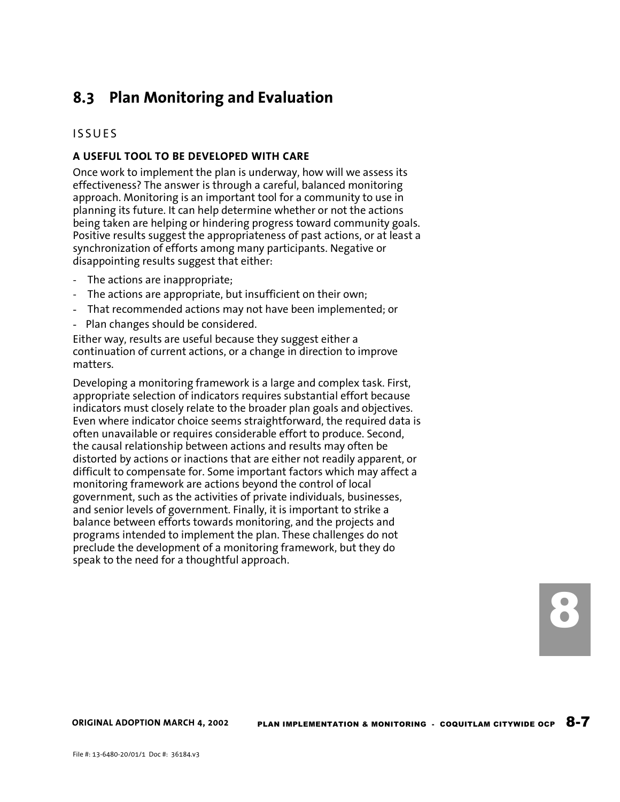# **8.3 Plan Monitoring and Evaluation**

### ISSUES

### **A USEFUL TOOL TO BE DEVELOPED WITH CARE**

Once work to implement the plan is underway, how will we assess its effectiveness? The answer is through a careful, balanced monitoring approach. Monitoring is an important tool for a community to use in planning its future. It can help determine whether or not the actions being taken are helping or hindering progress toward community goals. Positive results suggest the appropriateness of past actions, or at least a synchronization of efforts among many participants. Negative or disappointing results suggest that either:

- The actions are inappropriate;
- The actions are appropriate, but insufficient on their own;
- That recommended actions may not have been implemented; or
- Plan changes should be considered.

Either way, results are useful because they suggest either a continuation of current actions, or a change in direction to improve matters.

Developing a monitoring framework is a large and complex task. First, appropriate selection of indicators requires substantial effort because indicators must closely relate to the broader plan goals and objectives. Even where indicator choice seems straightforward, the required data is often unavailable or requires considerable effort to produce. Second, the causal relationship between actions and results may often be distorted by actions or inactions that are either not readily apparent, or difficult to compensate for. Some important factors which may affect a monitoring framework are actions beyond the control of local government, such as the activities of private individuals, businesses, and senior levels of government. Finally, it is important to strike a balance between efforts towards monitoring, and the projects and programs intended to implement the plan. These challenges do not preclude the development of a monitoring framework, but they do speak to the need for a thoughtful approach.

8

**ORIGINAL ADOPTION MARCH 4, 2002**